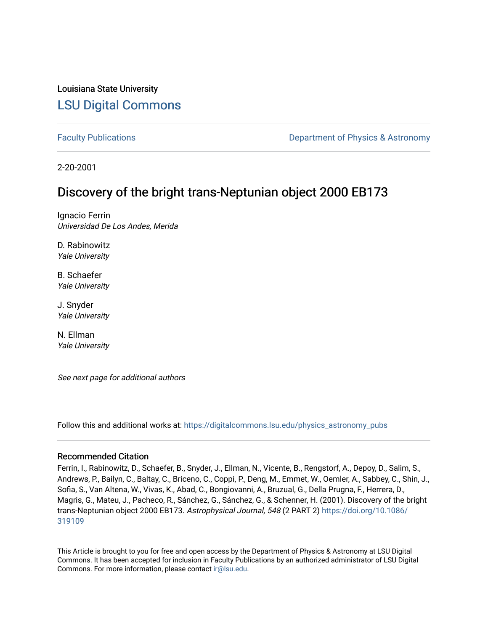# Louisiana State University [LSU Digital Commons](https://digitalcommons.lsu.edu/)

[Faculty Publications](https://digitalcommons.lsu.edu/physics_astronomy_pubs) **Exercise 2 and Table 2 and Table 2 and Table 2 and Table 2 and Table 2 and Table 2 and Table 2 and Table 2 and Table 2 and Table 2 and Table 2 and Table 2 and Table 2 and Table 2 and Table 2 and Table** 

2-20-2001

# Discovery of the bright trans-Neptunian object 2000 EB173

Ignacio Ferrin Universidad De Los Andes, Merida

D. Rabinowitz Yale University

B. Schaefer Yale University

J. Snyder Yale University

N. Ellman Yale University

See next page for additional authors

Follow this and additional works at: [https://digitalcommons.lsu.edu/physics\\_astronomy\\_pubs](https://digitalcommons.lsu.edu/physics_astronomy_pubs?utm_source=digitalcommons.lsu.edu%2Fphysics_astronomy_pubs%2F4763&utm_medium=PDF&utm_campaign=PDFCoverPages) 

## Recommended Citation

Ferrin, I., Rabinowitz, D., Schaefer, B., Snyder, J., Ellman, N., Vicente, B., Rengstorf, A., Depoy, D., Salim, S., Andrews, P., Bailyn, C., Baltay, C., Briceno, C., Coppi, P., Deng, M., Emmet, W., Oemler, A., Sabbey, C., Shin, J., Sofia, S., Van Altena, W., Vivas, K., Abad, C., Bongiovanni, A., Bruzual, G., Della Prugna, F., Herrera, D., Magris, G., Mateu, J., Pacheco, R., Sánchez, G., Sánchez, G., & Schenner, H. (2001). Discovery of the bright trans-Neptunian object 2000 EB173. Astrophysical Journal, 548 (2 PART 2) [https://doi.org/10.1086/](https://doi.org/10.1086/319109) [319109](https://doi.org/10.1086/319109) 

This Article is brought to you for free and open access by the Department of Physics & Astronomy at LSU Digital Commons. It has been accepted for inclusion in Faculty Publications by an authorized administrator of LSU Digital Commons. For more information, please contact [ir@lsu.edu](mailto:ir@lsu.edu).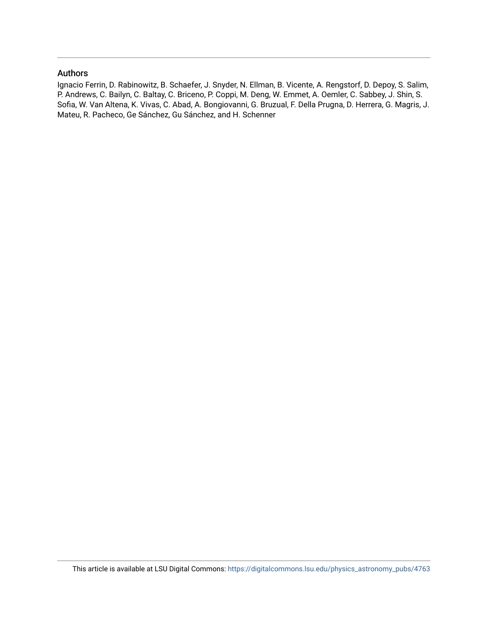# Authors

Ignacio Ferrin, D. Rabinowitz, B. Schaefer, J. Snyder, N. Ellman, B. Vicente, A. Rengstorf, D. Depoy, S. Salim, P. Andrews, C. Bailyn, C. Baltay, C. Briceno, P. Coppi, M. Deng, W. Emmet, A. Oemler, C. Sabbey, J. Shin, S. Sofia, W. Van Altena, K. Vivas, C. Abad, A. Bongiovanni, G. Bruzual, F. Della Prugna, D. Herrera, G. Magris, J. Mateu, R. Pacheco, Ge Sánchez, Gu Sánchez, and H. Schenner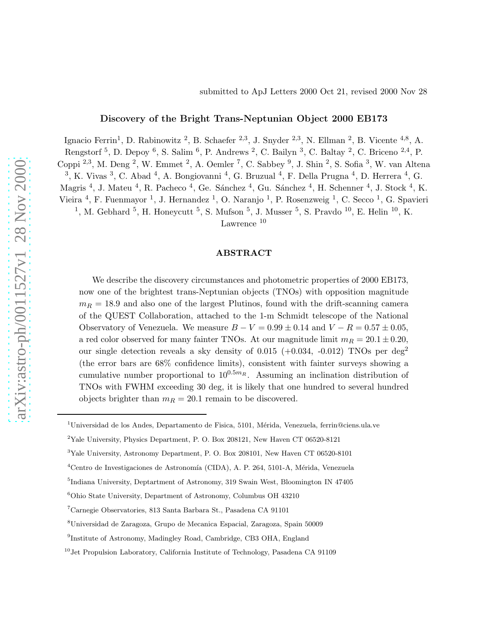## Discovery of the Bright Trans-Neptunian Object 2000 EB173

Ignacio Ferrin<sup>1</sup>, D. Rabinowitz<sup>2</sup>, B. Schaefer <sup>2,3</sup>, J. Snyder <sup>2,3</sup>, N. Ellman<sup>2</sup>, B. Vicente <sup>4,8</sup>, A. Rengstorf <sup>5</sup>, D. Depoy <sup>6</sup>, S. Salim <sup>6</sup>, P. Andrews <sup>2</sup>, C. Bailyn <sup>3</sup>, C. Baltay <sup>2</sup>, C. Briceno <sup>2,4</sup>, P. Coppi <sup>2,3</sup>, M. Deng <sup>2</sup>, W. Emmet <sup>2</sup>, A. Oemler <sup>7</sup>, C. Sabbey <sup>9</sup>, J. Shin <sup>2</sup>, S. Sofia <sup>3</sup>, W. van Altena  $^3$ , K. Vivas  $^3$ , C. Abad  $^4$ , A. Bongiovanni  $^4$ , G. Bruzual  $^4$ , F. Della Prugna  $^4$ , D. Herrera  $^4$ , G. Magris <sup>4</sup>, J. Mateu <sup>4</sup>, R. Pacheco <sup>4</sup>, Ge. Sánchez <sup>4</sup>, Gu. Sánchez <sup>4</sup>, H. Schenner <sup>4</sup>, J. Stock <sup>4</sup>, K. Vieira<sup>4</sup>, F. Fuenmayor<sup>1</sup>, J. Hernandez<sup>1</sup>, O. Naranjo<sup>1</sup>, P. Rosenzweig<sup>1</sup>, C. Secco<sup>1</sup>, G. Spavieri <sup>1</sup>, M. Gebhard <sup>5</sup>, H. Honeycutt <sup>5</sup>, S. Mufson <sup>5</sup>, J. Musser <sup>5</sup>, S. Pravdo <sup>10</sup>, E. Helin <sup>10</sup>, K.

Lawrence<sup>10</sup>

#### ABSTRACT

We describe the discovery circumstances and photometric properties of 2000 EB173, now one of the brightest trans-Neptunian objects (TNOs) with opposition magnitude  $m_R = 18.9$  and also one of the largest Plutinos, found with the drift-scanning camera of the QUEST Collaboration, attached to the 1-m Schmidt telescope of the National Observatory of Venezuela. We measure  $B - V = 0.99 \pm 0.14$  and  $V - R = 0.57 \pm 0.05$ , a red color observed for many fainter TNOs. At our magnitude limit  $m_R = 20.1 \pm 0.20$ , our single detection reveals a sky density of  $0.015$  (+0.034, -0.012) TNOs per deg<sup>2</sup> (the error bars are 68% confidence limits), consistent with fainter surveys showing a cumulative number proportional to  $10^{0.5m_R}$ . Assuming an inclination distribution of TNOs with FWHM exceeding 30 deg, it is likely that one hundred to several hundred objects brighter than  $m_R = 20.1$  remain to be discovered.

 $1$ Universidad de los Andes, Departamento de Fisica, 5101, Mérida, Venezuela, ferrin@ciens.ula.ve

<sup>2</sup>Yale University, Physics Department, P. O. Box 208121, New Haven CT 06520-8121

<sup>3</sup>Yale University, Astronomy Department, P. O. Box 208101, New Haven CT 06520-8101

 $^4\rm Centr$ de Investigaciones de Astronomía (CIDA), A. P. 264, 5101-A, Mérida, Venezuela

<sup>5</sup> Indiana University, Deptartment of Astronomy, 319 Swain West, Bloomington IN 47405

<sup>6</sup>Ohio State University, Department of Astronomy, Columbus OH 43210

<sup>7</sup>Carnegie Observatories, 813 Santa Barbara St., Pasadena CA 91101

<sup>8</sup>Universidad de Zaragoza, Grupo de Mecanica Espacial, Zaragoza, Spain 50009

<sup>&</sup>lt;sup>9</sup>Institute of Astronomy, Madingley Road, Cambridge, CB3 OHA, England

<sup>&</sup>lt;sup>10</sup> Jet Propulsion Laboratory, California Institute of Technology, Pasadena CA 91109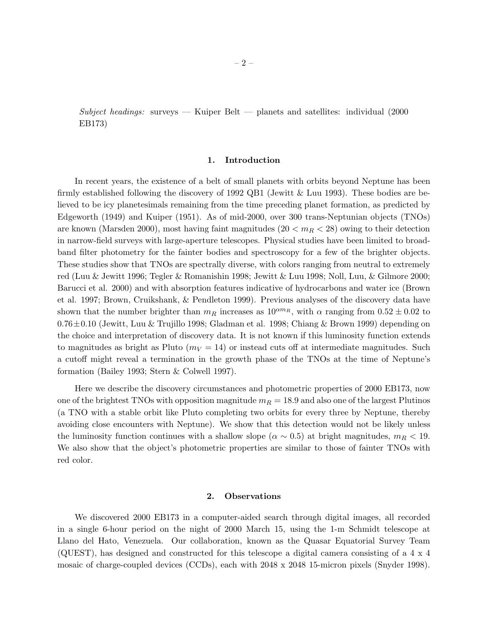$Subject$  headings: surveys — Kuiper Belt — planets and satellites: individual (2000) EB173)

#### 1. Introduction

In recent years, the existence of a belt of small planets with orbits beyond Neptune has been firmly established following the discovery of 1992 QB1 (Jewitt & Luu 1993). These bodies are believed to be icy planetesimals remaining from the time preceding planet formation, as predicted by Edgeworth (1949) and Kuiper (1951). As of mid-2000, over 300 trans-Neptunian objects (TNOs) are known (Marsden 2000), most having faint magnitudes ( $20 < m_R < 28$ ) owing to their detection in narrow-field surveys with large-aperture telescopes. Physical studies have been limited to broadband filter photometry for the fainter bodies and spectroscopy for a few of the brighter objects. These studies show that TNOs are spectrally diverse, with colors ranging from neutral to extremely red (Luu & Jewitt 1996; Tegler & Romanishin 1998; Jewitt & Luu 1998; Noll, Luu, & Gilmore 2000; Barucci et al. 2000) and with absorption features indicative of hydrocarbons and water ice (Brown et al. 1997; Brown, Cruikshank, & Pendleton 1999). Previous analyses of the discovery data have shown that the number brighter than  $m_R$  increases as  $10^{\alpha m_R}$ , with  $\alpha$  ranging from  $0.52 \pm 0.02$  to 0.76±0.10 (Jewitt, Luu & Trujillo 1998; Gladman et al. 1998; Chiang & Brown 1999) depending on the choice and interpretation of discovery data. It is not known if this luminosity function extends to magnitudes as bright as Pluto  $(m_V = 14)$  or instead cuts off at intermediate magnitudes. Such a cutoff might reveal a termination in the growth phase of the TNOs at the time of Neptune's formation (Bailey 1993; Stern & Colwell 1997).

Here we describe the discovery circumstances and photometric properties of 2000 EB173, now one of the brightest TNOs with opposition magnitude  $m_R = 18.9$  and also one of the largest Plutinos (a TNO with a stable orbit like Pluto completing two orbits for every three by Neptune, thereby avoiding close encounters with Neptune). We show that this detection would not be likely unless the luminosity function continues with a shallow slope ( $\alpha \sim 0.5$ ) at bright magnitudes,  $m_R < 19$ . We also show that the object's photometric properties are similar to those of fainter TNOs with red color.

#### 2. Observations

We discovered 2000 EB173 in a computer-aided search through digital images, all recorded in a single 6-hour period on the night of 2000 March 15, using the 1-m Schmidt telescope at Llano del Hato, Venezuela. Our collaboration, known as the Quasar Equatorial Survey Team (QUEST), has designed and constructed for this telescope a digital camera consisting of a 4 x 4 mosaic of charge-coupled devices (CCDs), each with 2048 x 2048 15-micron pixels (Snyder 1998).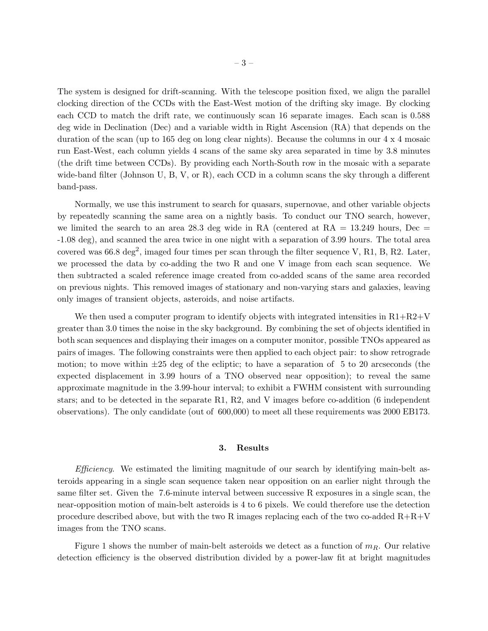The system is designed for drift-scanning. With the telescope position fixed, we align the parallel clocking direction of the CCDs with the East-West motion of the drifting sky image. By clocking each CCD to match the drift rate, we continuously scan 16 separate images. Each scan is 0.588 deg wide in Declination (Dec) and a variable width in Right Ascension (RA) that depends on the duration of the scan (up to 165 deg on long clear nights). Because the columns in our 4 x 4 mosaic run East-West, each column yields 4 scans of the same sky area separated in time by 3.8 minutes (the drift time between CCDs). By providing each North-South row in the mosaic with a separate wide-band filter (Johnson U, B, V, or R), each CCD in a column scans the sky through a different band-pass.

Normally, we use this instrument to search for quasars, supernovae, and other variable objects by repeatedly scanning the same area on a nightly basis. To conduct our TNO search, however, we limited the search to an area 28.3 deg wide in RA (centered at  $RA = 13.249$  hours, Dec = -1.08 deg), and scanned the area twice in one night with a separation of 3.99 hours. The total area covered was  $66.8 \text{ deg}^2$ , imaged four times per scan through the filter sequence V, R1, B, R2. Later, we processed the data by co-adding the two R and one V image from each scan sequence. We then subtracted a scaled reference image created from co-added scans of the same area recorded on previous nights. This removed images of stationary and non-varying stars and galaxies, leaving only images of transient objects, asteroids, and noise artifacts.

We then used a computer program to identify objects with integrated intensities in  $R1+R2+V$ greater than 3.0 times the noise in the sky background. By combining the set of objects identified in both scan sequences and displaying their images on a computer monitor, possible TNOs appeared as pairs of images. The following constraints were then applied to each object pair: to show retrograde motion; to move within  $\pm 25$  deg of the ecliptic; to have a separation of 5 to 20 arcseconds (the expected displacement in 3.99 hours of a TNO observed near opposition); to reveal the same approximate magnitude in the 3.99-hour interval; to exhibit a FWHM consistent with surrounding stars; and to be detected in the separate R1, R2, and V images before co-addition (6 independent observations). The only candidate (out of 600,000) to meet all these requirements was 2000 EB173.

#### 3. Results

Efficiency. We estimated the limiting magnitude of our search by identifying main-belt asteroids appearing in a single scan sequence taken near opposition on an earlier night through the same filter set. Given the 7.6-minute interval between successive R exposures in a single scan, the near-opposition motion of main-belt asteroids is 4 to 6 pixels. We could therefore use the detection procedure described above, but with the two R images replacing each of the two co-added  $R+R+V$ images from the TNO scans.

Figure 1 shows the number of main-belt asteroids we detect as a function of  $m_R$ . Our relative detection efficiency is the observed distribution divided by a power-law fit at bright magnitudes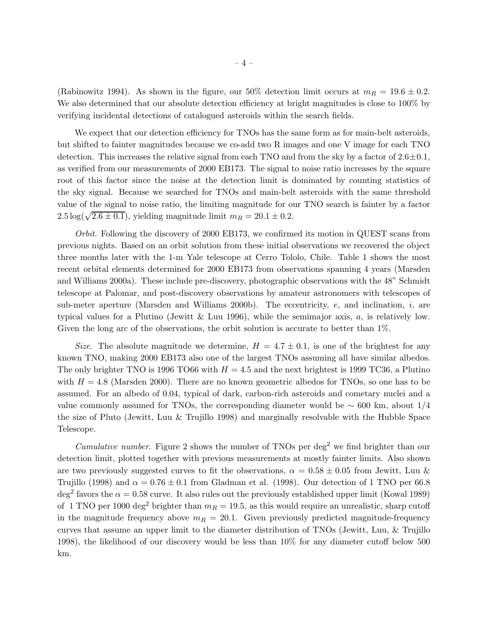(Rabinowitz 1994). As shown in the figure, our 50% detection limit occurs at  $m_R = 19.6 \pm 0.2$ . We also determined that our absolute detection efficiency at bright magnitudes is close to  $100\%$  by verifying incidental detections of catalogued asteroids within the search fields.

We expect that our detection efficiency for TNOs has the same form as for main-belt asteroids, but shifted to fainter magnitudes because we co-add two R images and one V image for each TNO detection. This increases the relative signal from each TNO and from the sky by a factor of  $2.6\pm0.1$ , as verified from our measurements of 2000 EB173. The signal to noise ratio increases by the square root of this factor since the noise at the detection limit is dominated by counting statistics of the sky signal. Because we searched for TNOs and main-belt asteroids with the same threshold value of the signal to noise ratio, the limiting magnitude for our TNO search is fainter by a factor  $2.5 \log(\sqrt{2.6 \pm 0.1})$ , yielding magnitude limit  $m_R = 20.1 \pm 0.2$ .

Orbit. Following the discovery of 2000 EB173, we confirmed its motion in QUEST scans from previous nights. Based on an orbit solution from these initial observations we recovered the object three months later with the 1-m Yale telescope at Cerro Tololo, Chile. Table 1 shows the most recent orbital elements determined for 2000 EB173 from observations spanning 4 years (Marsden and Williams 2000a). These include pre-discovery, photographic observations with the 48" Schmidt telescope at Palomar, and post-discovery observations by amateur astronomers with telescopes of sub-meter aperture (Marsden and Williams 2000b). The eccentricity,  $e$ , and inclination,  $i$ , are typical values for a Plutino (Jewitt & Luu 1996), while the semimajor axis,  $a$ , is relatively low. Given the long arc of the observations, the orbit solution is accurate to better than  $1\%$ .

Size. The absolute magnitude we determine,  $H = 4.7 \pm 0.1$ , is one of the brightest for any known TNO, making 2000 EB173 also one of the largest TNOs assuming all have similar albedos. The only brighter TNO is 1996 TO66 with  $H = 4.5$  and the next brightest is 1999 TC36, a Plutino with  $H = 4.8$  (Marsden 2000). There are no known geometric albedos for TNOs, so one has to be assumed. For an albedo of 0.04, typical of dark, carbon-rich asteroids and cometary nuclei and a value commonly assumed for TNOs, the corresponding diameter would be  $\sim 600 \text{ km}$ , about 1/4 the size of Pluto (Jewitt, Luu & Trujillo 1998) and marginally resolvable with the Hubble Space Telescope.

*Cumulative number.* Figure 2 shows the number of TNOs per  $\text{deg}^2$  we find brighter than our detection limit, plotted together with previous measurements at mostly fainter limits. Also shown are two previously suggested curves to fit the observations,  $\alpha = 0.58 \pm 0.05$  from Jewitt, Luu & Trujillo (1998) and  $\alpha = 0.76 \pm 0.1$  from Gladman et al. (1998). Our detection of 1 TNO per 66.8 deg<sup>2</sup> favors the  $\alpha = 0.58$  curve. It also rules out the previously established upper limit (Kowal 1989) of 1 TNO per 1000 deg<sup>2</sup> brighter than  $m_R = 19.5$ , as this would require an unrealistic, sharp cutoff in the magnitude frequency above  $m_R = 20.1$ . Given previously predicted magnitude-frequency curves that assume an upper limit to the diameter distribution of TNOs (Jewitt, Luu, & Trujillo 1998), the likelihood of our discovery would be less than 10% for any diameter cutoff below 500 km.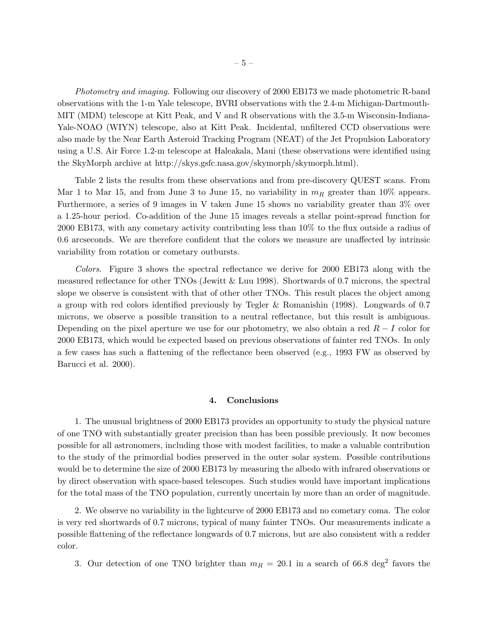Photometry and imaging. Following our discovery of 2000 EB173 we made photometric R-band observations with the 1-m Yale telescope, BVRI observations with the 2.4-m Michigan-Dartmouth-MIT (MDM) telescope at Kitt Peak, and V and R observations with the 3.5-m Wisconsin-Indiana-Yale-NOAO (WIYN) telescope, also at Kitt Peak. Incidental, unfiltered CCD observations were also made by the Near Earth Asteroid Tracking Program (NEAT) of the Jet Propulsion Laboratory using a U.S. Air Force 1.2-m telescope at Haleakala, Maui (these observations were identified using the SkyMorph archive at http://skys.gsfc.nasa.gov/skymorph/skymorph.html).

Table 2 lists the results from these observations and from pre-discovery QUEST scans. From Mar 1 to Mar 15, and from June 3 to June 15, no variability in  $m_R$  greater than 10% appears. Furthermore, a series of 9 images in V taken June 15 shows no variability greater than 3% over a 1.25-hour period. Co-addition of the June 15 images reveals a stellar point-spread function for 2000 EB173, with any cometary activity contributing less than 10% to the flux outside a radius of 0.6 arcseconds. We are therefore confident that the colors we measure are unaffected by intrinsic variability from rotation or cometary outbursts.

Colors. Figure 3 shows the spectral reflectance we derive for 2000 EB173 along with the measured reflectance for other TNOs (Jewitt & Luu 1998). Shortwards of 0.7 microns, the spectral slope we observe is consistent with that of other other TNOs. This result places the object among a group with red colors identified previously by Tegler & Romanishin (1998). Longwards of 0.7 microns, we observe a possible transition to a neutral reflectance, but this result is ambiguous. Depending on the pixel aperture we use for our photometry, we also obtain a red  $R - I$  color for 2000 EB173, which would be expected based on previous observations of fainter red TNOs. In only a few cases has such a flattening of the reflectance been observed (e.g., 1993 FW as observed by Barucci et al. 2000).

#### 4. Conclusions

1. The unusual brightness of 2000 EB173 provides an opportunity to study the physical nature of one TNO with substantially greater precision than has been possible previously. It now becomes possible for all astronomers, including those with modest facilities, to make a valuable contribution to the study of the primordial bodies preserved in the outer solar system. Possible contributions would be to determine the size of 2000 EB173 by measuring the albedo with infrared observations or by direct observation with space-based telescopes. Such studies would have important implications for the total mass of the TNO population, currently uncertain by more than an order of magnitude.

2. We observe no variability in the lightcurve of 2000 EB173 and no cometary coma. The color is very red shortwards of 0.7 microns, typical of many fainter TNOs. Our measurements indicate a possible flattening of the reflectance longwards of 0.7 microns, but are also consistent with a redder color.

3. Our detection of one TNO brighter than  $m_R = 20.1$  in a search of 66.8 deg<sup>2</sup> favors the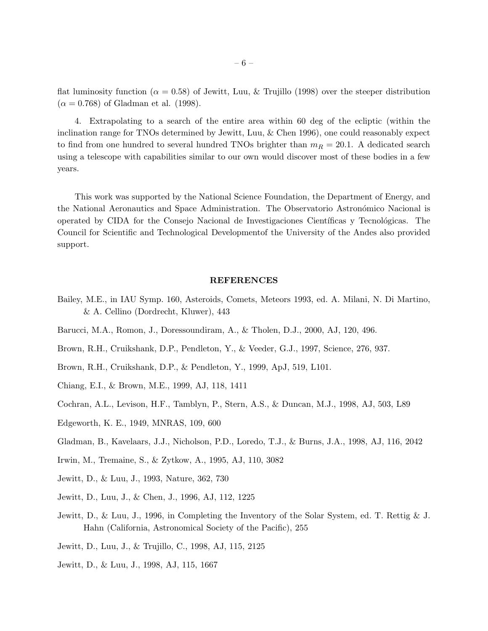flat luminosity function ( $\alpha = 0.58$ ) of Jewitt, Luu, & Trujillo (1998) over the steeper distribution  $(\alpha = 0.768)$  of Gladman et al. (1998).

4. Extrapolating to a search of the entire area within 60 deg of the ecliptic (within the inclination range for TNOs determined by Jewitt, Luu, & Chen 1996), one could reasonably expect to find from one hundred to several hundred TNOs brighter than  $m_R = 20.1$ . A dedicated search using a telescope with capabilities similar to our own would discover most of these bodies in a few years.

This work was supported by the National Science Foundation, the Department of Energy, and the National Aeronautics and Space Administration. The Observatorio Astronómico Nacional is operated by CIDA for the Consejo Nacional de Investigaciones Científicas y Tecnológicas. The Council for Scientific and Technological Developmentof the University of the Andes also provided support.

### REFERENCES

- Bailey, M.E., in IAU Symp. 160, Asteroids, Comets, Meteors 1993, ed. A. Milani, N. Di Martino, & A. Cellino (Dordrecht, Kluwer), 443
- Barucci, M.A., Romon, J., Doressoundiram, A., & Tholen, D.J., 2000, AJ, 120, 496.
- Brown, R.H., Cruikshank, D.P., Pendleton, Y., & Veeder, G.J., 1997, Science, 276, 937.
- Brown, R.H., Cruikshank, D.P., & Pendleton, Y., 1999, ApJ, 519, L101.
- Chiang, E.I., & Brown, M.E., 1999, AJ, 118, 1411
- Cochran, A.L., Levison, H.F., Tamblyn, P., Stern, A.S., & Duncan, M.J., 1998, AJ, 503, L89
- Edgeworth, K. E., 1949, MNRAS, 109, 600
- Gladman, B., Kavelaars, J.J., Nicholson, P.D., Loredo, T.J., & Burns, J.A., 1998, AJ, 116, 2042
- Irwin, M., Tremaine, S., & Zytkow, A., 1995, AJ, 110, 3082
- Jewitt, D., & Luu, J., 1993, Nature, 362, 730
- Jewitt, D., Luu, J., & Chen, J., 1996, AJ, 112, 1225
- Jewitt, D., & Luu, J., 1996, in Completing the Inventory of the Solar System, ed. T. Rettig & J. Hahn (California, Astronomical Society of the Pacific), 255
- Jewitt, D., Luu, J., & Trujillo, C., 1998, AJ, 115, 2125
- Jewitt, D., & Luu, J., 1998, AJ, 115, 1667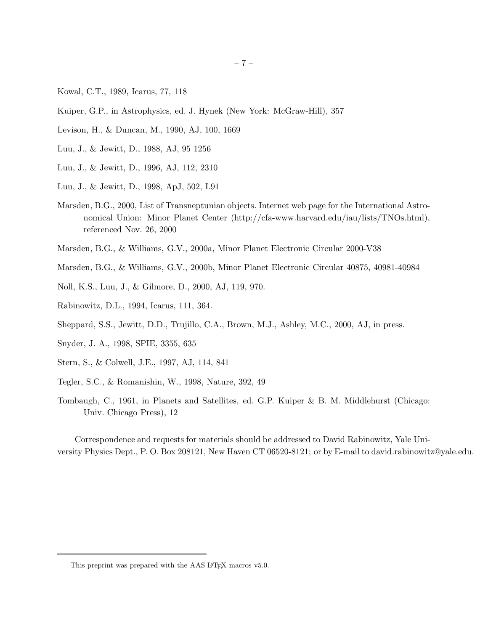- Kowal, C.T., 1989, Icarus, 77, 118
- Kuiper, G.P., in Astrophysics, ed. J. Hynek (New York: McGraw-Hill), 357
- Levison, H., & Duncan, M., 1990, AJ, 100, 1669
- Luu, J., & Jewitt, D., 1988, AJ, 95 1256
- Luu, J., & Jewitt, D., 1996, AJ, 112, 2310
- Luu, J., & Jewitt, D., 1998, ApJ, 502, L91
- Marsden, B.G., 2000, List of Transneptunian objects. Internet web page for the International Astronomical Union: Minor Planet Center (http://cfa-www.harvard.edu/iau/lists/TNOs.html), referenced Nov. 26, 2000
- Marsden, B.G., & Williams, G.V., 2000a, Minor Planet Electronic Circular 2000-V38
- Marsden, B.G., & Williams, G.V., 2000b, Minor Planet Electronic Circular 40875, 40981-40984
- Noll, K.S., Luu, J., & Gilmore, D., 2000, AJ, 119, 970.
- Rabinowitz, D.L., 1994, Icarus, 111, 364.
- Sheppard, S.S., Jewitt, D.D., Trujillo, C.A., Brown, M.J., Ashley, M.C., 2000, AJ, in press.
- Snyder, J. A., 1998, SPIE, 3355, 635
- Stern, S., & Colwell, J.E., 1997, AJ, 114, 841
- Tegler, S.C., & Romanishin, W., 1998, Nature, 392, 49
- Tombaugh, C., 1961, in Planets and Satellites, ed. G.P. Kuiper & B. M. Middlehurst (Chicago: Univ. Chicago Press), 12

Correspondence and requests for materials should be addressed to David Rabinowitz, Yale University Physics Dept., P. O. Box 208121, New Haven CT 06520-8121; or by E-mail to david.rabinowitz@yale.edu.

This preprint was prepared with the AAS IATEX macros v5.0.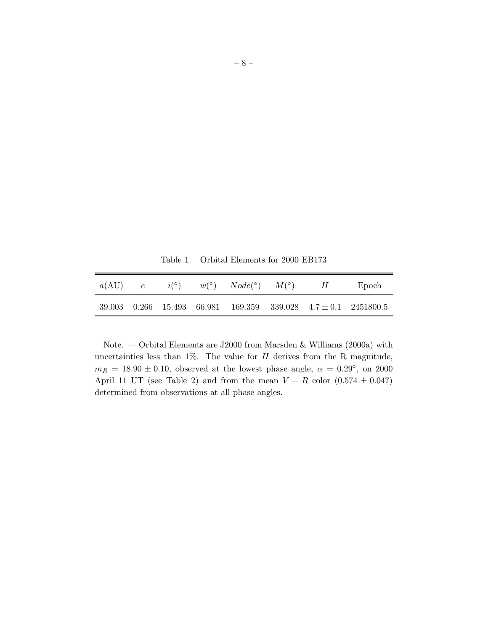Table 1. Orbital Elements for 2000 EB173

|  |  | $a(AU)$ e $i^{\circ}$ $w^{\circ}$ $Node^{\circ}$ $M^{\circ}$ $H$ Epoch |  |                                                                      |
|--|--|------------------------------------------------------------------------|--|----------------------------------------------------------------------|
|  |  |                                                                        |  | $39.003$ 0.266 15.493 66.981 169.359 339.028 4.7 $\pm$ 0.1 2451800.5 |

Note. — Orbital Elements are J2000 from Marsden & Williams (2000a) with uncertainties less than  $1\%$ . The value for  $H$  derives from the R magnitude,  $m_R = 18.90 \pm 0.10$ , observed at the lowest phase angle,  $\alpha = 0.29^{\circ}$ , on 2000 April 11 UT (see Table 2) and from the mean  $V - R$  color  $(0.574 \pm 0.047)$ determined from observations at all phase angles.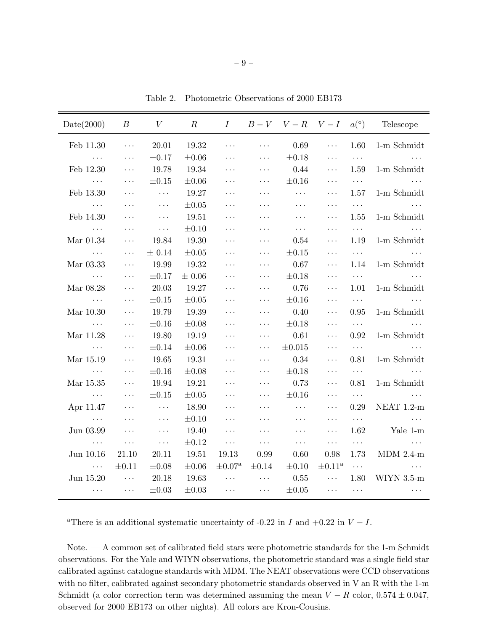| Date(2000)                        | $\boldsymbol{B}$            | V                           | $\,R$      | I                       |                      | $B-V$ $V-R$ $V-I$ |                         | $a(^\circ)$          | Telescope            |
|-----------------------------------|-----------------------------|-----------------------------|------------|-------------------------|----------------------|-------------------|-------------------------|----------------------|----------------------|
| Feb 11.30                         | $\cdots$                    | 20.01                       | 19.32      | $\cdots$                | $\ldots$ .           | 0.69              | $\ldots$                | 1.60                 | 1-m Schmidt          |
| $\ldots$ .                        | $\ldots$                    | $\pm 0.17$                  | $\pm 0.06$ | $\cdots$                | $\ldots$ .           | $\pm 0.18$        | $\cdots$                | $\ldots$ .           |                      |
| Feb 12.30                         | $\cdots$                    | 19.78                       | 19.34      | $\cdots$                | $\ldots$ .           | 0.44              | $\cdots$                | 1.59                 | 1-m Schmidt          |
| $\ddots$                          | $\ldots$                    | $\pm 0.15$                  | $\pm 0.06$ | $\cdots$                | $\ldots$ .           | $\pm 0.16$        | $\cdots$                | $\ldots$ .           |                      |
| Feb 13.30                         | $\cdots$                    | $\ldots$                    | 19.27      | $\cdots$                | $\ldots$ .           | $\cdots$          | $\cdots$                | 1.57                 | 1-m Schmidt          |
| $\sim$ $\sim$ $\sim$              | $\cdots$                    | $\ldots$                    | $\pm 0.05$ | .                       | $\ldots$ .           | $\cdots$          | $\cdots$                | $\cdots$             |                      |
| Feb 14.30                         | $\cdots$                    | $\ldots$                    | 19.51      | $\cdots$                | $\ldots$ .           | $\cdots$          | $\ddotsc$               | 1.55                 | 1-m Schmidt          |
| $\ldots$                          | $\cdots$                    | $\ldots$ .                  | $\pm 0.10$ | $\cdots$                | $\ldots$ .           | $\ldots$ .        | .                       | $\sim$ $\sim$ $\sim$ |                      |
| Mar 01.34                         | $\cdots$                    | 19.84                       | 19.30      | $\ddots$                | $\ldots$ .           | 0.54              | $\cdots$                | 1.19                 | 1-m Schmidt          |
| $\ldots$                          | $\cdots$                    | $\pm$ 0.14                  | $\pm 0.05$ | $\cdots$                | $\ddots$             | $\pm 0.15$        | $\cdots$                | $\ldots$ .           |                      |
| Mar 03.33                         | $\cdots$                    | 19.99                       | 19.32      | $\cdots$                | $\ldots$ .           | $0.67\,$          | $\cdots$                | 1.14                 | 1-m Schmidt          |
| $\ddots$                          | $\cdots$                    | $\pm 0.17$                  | $\pm$ 0.06 | $\cdots$                | $\ldots$ .           | $\pm 0.18$        | $\cdots$                | $\sim 100$           | $\sim$ $\sim$ $\sim$ |
| Mar 08.28                         | $\cdots$                    | 20.03                       | 19.27      | .                       | $\ldots$             | 0.76              | $\cdots$                | 1.01                 | $1-m$ Schmidt        |
| $\sim$ $\sim$ $\sim$              | $\cdots$                    | $\pm 0.15$                  | $\pm 0.05$ | $\cdots$                | $\ldots$             | $\pm 0.16$        | $\cdots$                | $\ldots$ .           | $\cdots$             |
| Mar 10.30                         | $\cdots$                    | 19.79                       | 19.39      | $\cdots$                | $\ldots$ .           | 0.40              | $\cdots$                | 0.95                 | 1-m Schmidt          |
| $\ldots$ .                        | $\cdots$                    | $\pm 0.16$                  | $\pm 0.08$ | $\cdots$                | $\ddotsc$            | $\pm 0.18$        | $\cdots$                | $\sim$ $\sim$ $\sim$ |                      |
| Mar 11.28                         | $\ddotsc$                   | 19.80                       | 19.19      | $\cdots$                | $\ldots$ .           | $0.61\,$          | $\cdots$                | 0.92                 | 1-m Schmidt          |
| $\sim 10^{11}$ and $\sim 10^{11}$ | $\cdots$                    | $\pm 0.14$                  | $\pm 0.06$ | $\cdots$                | $\ddotsc$            | $\pm 0.015$       | $\cdots$                | $\sim$ $\sim$ $\sim$ | $\ddots$             |
| Mar 15.19                         | $\ldots$                    | 19.65                       | 19.31      | $\cdots$                | $\ldots$             | $0.34\,$          | $\cdots$                | 0.81                 | 1-m Schmidt          |
| $\ldots$ .                        | $\cdots$                    | $\pm 0.16$                  | $\pm 0.08$ | $\cdots$                | $\ddotsc$            | $\pm 0.18$        | $\cdots$                | $\sim$ $\sim$ $\sim$ | .                    |
| Mar 15.35                         | $\cdots$                    | 19.94                       | 19.21      | $\cdots$                | $\ldots$             | 0.73              | $\cdots$                | 0.81                 | 1-m Schmidt          |
| $\sim$ $\sim$ $\sim$              | $\cdots$                    | $\pm 0.15$                  | $\pm 0.05$ | $\cdots$                | $\ldots$             | $\pm 0.16$        | $\cdots$                | $\sim$ $\sim$ $\sim$ | $\ddots$             |
| Apr 11.47                         | $\cdots$                    | $\ldots$                    | 18.90      | $\cdots$                | $\ddots$             | $\ldots$          | $\cdots$                | 0.29                 | NEAT 1.2-m           |
| $\ddots$                          | $\cdots$                    | $\ldots$                    | $\pm 0.10$ | $\cdots$                | $\ldots$ .           | $\cdots$          | $\ldots$ .              | $\sim$ $\sim$ $\sim$ | $\ddotsc$            |
| Jun 03.99                         | $\ddotsc$                   | $\ldots$                    | 19.40      | $\cdots$                | $\ldots$ .           | $\ldots$          | $\ddotsc$               | 1.62                 | Yale 1-m             |
| $\sim$ $\sim$ $\sim$              | $\ldots$ .                  | $\langle\,\cdot\,\rangle$ . | $\pm 0.12$ | $\cdots$                | $\sim$ $\sim$ $\sim$ | $\ldots$          | $\ldots$ .              | $\ldots$ .           | $\ldots$             |
| Jun 10.16                         | 21.10                       | 20.11                       | 19.51      | 19.13                   | 0.99                 | 0.60              | 0.98                    | 1.73                 | $MDM$ 2.4-m          |
| $\sim$ $\sim$ $\sim$ $\sim$       | $\pm 0.11$                  | $\pm 0.08$                  | $\pm 0.06$ | $\pm 0.07^{\mathrm{a}}$ | $\pm 0.14$           | $\pm 0.10$        | $\pm 0.11^{\mathrm{a}}$ | $\sim$ $\sim$ $\sim$ |                      |
| Jun 15.20                         | $\sim$ $\sim$ $\sim$ $\sim$ | 20.18                       | 19.63      | $\ldots$                | $\ldots$ .           | $0.55\,$          | $\ldots$                | 1.80                 | $WIYN$ 3.5- $m$      |
| $\cdots$                          | $\ldots$                    | $\pm 0.03$                  | $\pm 0.03$ | $\cdots$                | $\ldots$             | $\pm 0.05$        | $\ldots$ .              | $\ldots$ .           | $\cdots$             |

Table 2. Photometric Observations of 2000 EB173

<sup>a</sup>There is an additional systematic uncertainty of -0.22 in I and +0.22 in  $V - I$ .

Note. — A common set of calibrated field stars were photometric standards for the 1-m Schmidt observations. For the Yale and WIYN observations, the photometric standard was a single field star calibrated against catalogue standards with MDM. The NEAT observations were CCD observations with no filter, calibrated against secondary photometric standards observed in V an R with the 1-m Schmidt (a color correction term was determined assuming the mean  $V - R$  color,  $0.574 \pm 0.047$ , observed for 2000 EB173 on other nights). All colors are Kron-Cousins.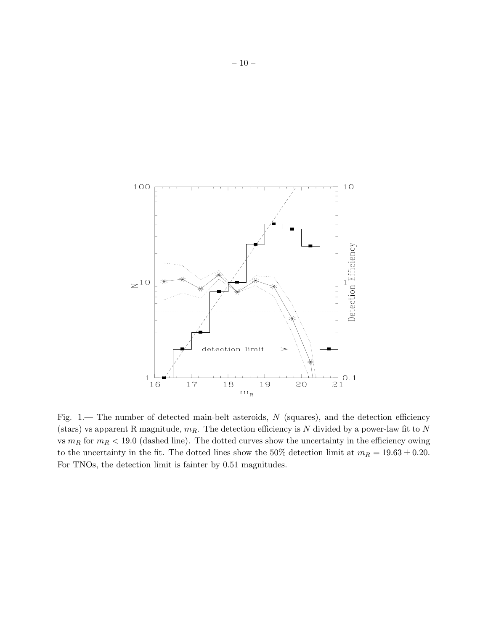

Fig. 1.— The number of detected main-belt asteroids,  $N$  (squares), and the detection efficiency (stars) vs apparent R magnitude,  $m_R$ . The detection efficiency is N divided by a power-law fit to N vs  $m_R$  for  $m_R < 19.0$  (dashed line). The dotted curves show the uncertainty in the efficiency owing to the uncertainty in the fit. The dotted lines show the 50% detection limit at  $m_R = 19.63 \pm 0.20$ . For TNOs, the detection limit is fainter by 0.51 magnitudes.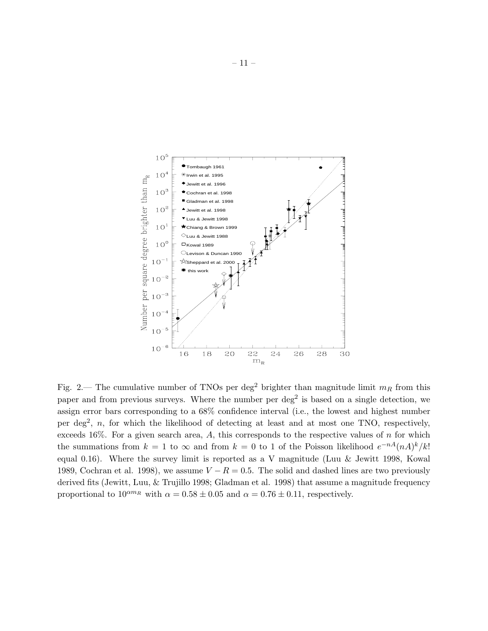

Fig. 2.— The cumulative number of TNOs per deg<sup>2</sup> brighter than magnitude limit  $m_R$  from this paper and from previous surveys. Where the number per deg<sup>2</sup> is based on a single detection, we assign error bars corresponding to a 68% confidence interval (i.e., the lowest and highest number per deg<sup>2</sup>, n, for which the likelihood of detecting at least and at most one TNO, respectively, exceeds 16%. For a given search area,  $A$ , this corresponds to the respective values of  $n$  for which the summations from  $k = 1$  to  $\infty$  and from  $k = 0$  to 1 of the Poisson likelihood  $e^{-nA}(nA)^k/k!$ equal 0.16). Where the survey limit is reported as a V magnitude (Luu  $\&$  Jewitt 1998, Kowal 1989, Cochran et al. 1998), we assume  $V - R = 0.5$ . The solid and dashed lines are two previously derived fits (Jewitt, Luu, & Trujillo 1998; Gladman et al. 1998) that assume a magnitude frequency proportional to  $10^{\alpha m_R}$  with  $\alpha = 0.58 \pm 0.05$  and  $\alpha = 0.76 \pm 0.11$ , respectively.